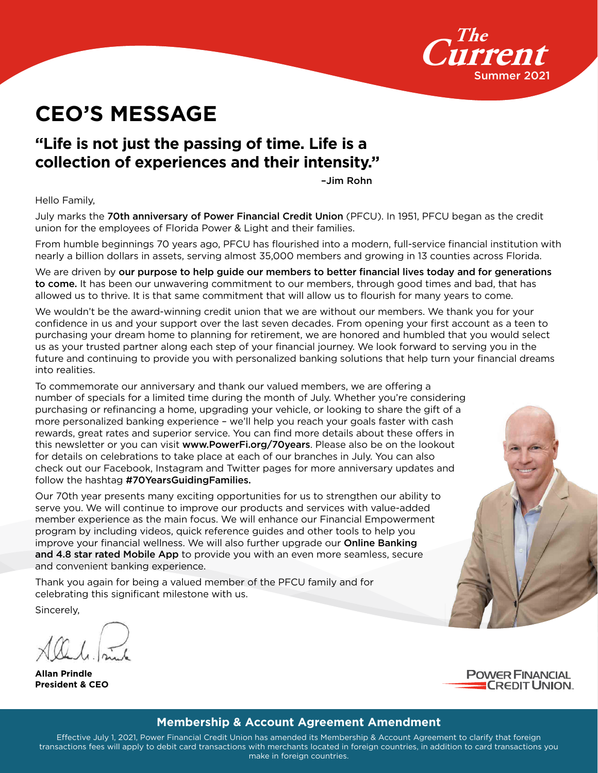

# **CEO'S MESSAGE**

#### **"Life is not just the passing of time. Life is a collection of experiences and their intensity."**

–Jim Rohn

Hello Family,

July marks the 70th anniversary of Power Financial Credit Union (PFCU). In 1951, PFCU began as the credit union for the employees of Florida Power & Light and their families.

From humble beginnings 70 years ago, PFCU has flourished into a modern, full-service financial institution with nearly a billion dollars in assets, serving almost 35,000 members and growing in 13 counties across Florida.

We are driven by our purpose to help guide our members to better financial lives today and for generations to come. It has been our unwavering commitment to our members, through good times and bad, that has allowed us to thrive. It is that same commitment that will allow us to flourish for many years to come.

We wouldn't be the award-winning credit union that we are without our members. We thank you for your confidence in us and your support over the last seven decades. From opening your first account as a teen to purchasing your dream home to planning for retirement, we are honored and humbled that you would select us as your trusted partner along each step of your financial journey. We look forward to serving you in the future and continuing to provide you with personalized banking solutions that help turn your financial dreams into realities.

To commemorate our anniversary and thank our valued members, we are offering a number of specials for a limited time during the month of July. Whether you're considering purchasing or refinancing a home, upgrading your vehicle, or looking to share the gift of a more personalized banking experience – we'll help you reach your goals faster with cash rewards, great rates and superior service. You can find more details about these offers in this newsletter or you can visit www.PowerFi.org/70years. Please also be on the lookout for details on celebrations to take place at each of our branches in July. You can also check out our Facebook, Instagram and Twitter pages for more anniversary updates and follow the hashtag #70YearsGuidingFamilies.

Our 70th year presents many exciting opportunities for us to strengthen our ability to serve you. We will continue to improve our products and services with value-added member experience as the main focus. We will enhance our Financial Empowerment program by including videos, quick reference guides and other tools to help you improve your financial wellness. We will also further upgrade our Online Banking and 4.8 star rated Mobile App to provide you with an even more seamless, secure and convenient banking experience.

Thank you again for being a valued member of the PFCU family and for celebrating this significant milestone with us.

Sincerely,

**Allan Prindle President & CEO**



#### **Membership & Account Agreement Amendment**

Effective July 1, 2021, Power Financial Credit Union has amended its Membership & Account Agreement to clarify that foreign transactions fees will apply to debit card transactions with merchants located in foreign countries, in addition to card transactions you make in foreign countries.